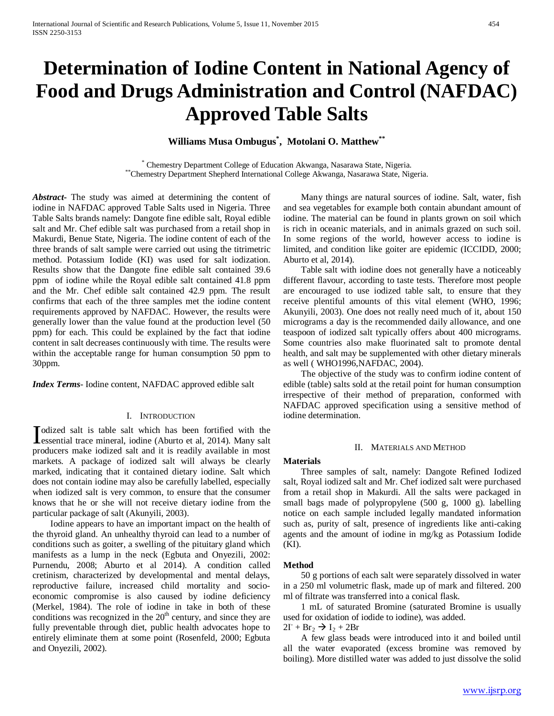# **Determination of Iodine Content in National Agency of Food and Drugs Administration and Control (NAFDAC) Approved Table Salts**

# **Williams Musa Ombugus\* , Motolani O. Matthew\*\***

\* Chemestry Department College of Education Akwanga, Nasarawa State, Nigeria. \*\*Chemestry Department Shepherd International College Akwanga, Nasarawa State, Nigeria.

*Abstract***-** The study was aimed at determining the content of iodine in NAFDAC approved Table Salts used in Nigeria. Three Table Salts brands namely: Dangote fine edible salt, Royal edible salt and Mr. Chef edible salt was purchased from a retail shop in Makurdi, Benue State, Nigeria. The iodine content of each of the three brands of salt sample were carried out using the titrimetric method. Potassium Iodide (KI) was used for salt iodization. Results show that the Dangote fine edible salt contained 39.6 ppm of iodine while the Royal edible salt contained 41.8 ppm and the Mr. Chef edible salt contained 42.9 ppm. The result confirms that each of the three samples met the iodine content requirements approved by NAFDAC. However, the results were generally lower than the value found at the production level (50 ppm) for each. This could be explained by the fact that iodine content in salt decreases continuously with time. The results were within the acceptable range for human consumption 50 ppm to 30ppm.

*Index Terms*- Iodine content, NAFDAC approved edible salt

#### I. INTRODUCTION

odized salt is table salt which has been fortified with the Indized salt is table salt which has been fortified with the essential trace mineral, iodine (Aburto et al, 2014). Many salt producers make iodized salt and it is readily available in most markets. A package of iodized salt will always be clearly marked, indicating that it contained dietary iodine. Salt which does not contain iodine may also be carefully labelled, especially when iodized salt is very common, to ensure that the consumer knows that he or she will not receive dietary iodine from the particular package of salt (Akunyili, 2003).

 Iodine appears to have an important impact on the health of the thyroid gland. An unhealthy thyroid can lead to a number of conditions such as goiter, a swelling of the pituitary gland which manifests as a lump in the neck (Egbuta and Onyezili, 2002: Purnendu, 2008; Aburto et al 2014). A condition called cretinism, characterized by developmental and mental delays, reproductive failure, increased child mortality and socioeconomic compromise is also caused by iodine deficiency (Merkel, 1984). The role of iodine in take in both of these conditions was recognized in the  $20<sup>th</sup>$  century, and since they are fully preventable through diet, public health advocates hope to entirely eliminate them at some point (Rosenfeld, 2000; Egbuta and Onyezili, 2002).

 Many things are natural sources of iodine. Salt, water, fish and sea vegetables for example both contain abundant amount of iodine. The material can be found in plants grown on soil which is rich in oceanic materials, and in animals grazed on such soil. In some regions of the world, however access to iodine is limited, and condition like goiter are epidemic (ICCIDD, 2000; Aburto et al, 2014).

 Table salt with iodine does not generally have a noticeably different flavour, according to taste tests. Therefore most people are encouraged to use iodized table salt, to ensure that they receive plentiful amounts of this vital element (WHO, 1996; Akunyili, 2003). One does not really need much of it, about 150 micrograms a day is the recommended daily allowance, and one teaspoon of iodized salt typically offers about 400 micrograms. Some countries also make fluorinated salt to promote dental health, and salt may be supplemented with other dietary minerals as well ( WHO1996,NAFDAC, 2004).

 The objective of the study was to confirm iodine content of edible (table) salts sold at the retail point for human consumption irrespective of their method of preparation, conformed with NAFDAC approved specification using a sensitive method of iodine determination.

# II. MATERIALS AND METHOD

## **Materials**

 Three samples of salt, namely: Dangote Refined Iodized salt, Royal iodized salt and Mr. Chef iodized salt were purchased from a retail shop in Makurdi. All the salts were packaged in small bags made of polypropylene (500 g, 1000 g). labelling notice on each sample included legally mandated information such as, purity of salt, presence of ingredients like anti-caking agents and the amount of iodine in mg/kg as Potassium Iodide  $(KI)$ .

#### **Method**

 50 g portions of each salt were separately dissolved in water in a 250 ml volumetric flask, made up of mark and filtered. 200 ml of filtrate was transferred into a conical flask.

 1 mL of saturated Bromine (saturated Bromine is usually used for oxidation of iodide to iodine), was added.

 $2\Gamma + Br_2 \rightarrow I_2 + 2Br$ 

 A few glass beads were introduced into it and boiled until all the water evaporated (excess bromine was removed by boiling). More distilled water was added to just dissolve the solid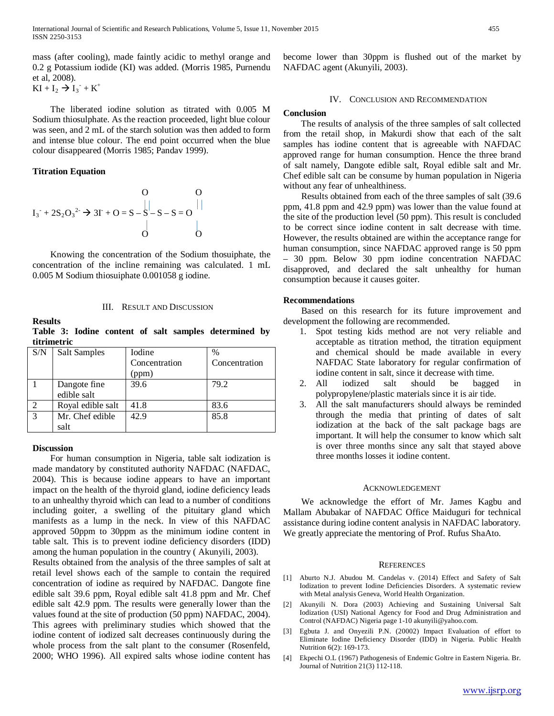mass (after cooling), made faintly acidic to methyl orange and 0.2 g Potassium iodide (KI) was added. (Morris 1985, Purnendu et al, 2008).

 $KI + I_2 \to I_3 + K^+$ 

 The liberated iodine solution as titrated with 0.005 M Sodium thiosulphate. As the reaction proceeded, light blue colour was seen, and 2 mL of the starch solution was then added to form and intense blue colour. The end point occurred when the blue colour disappeared (Morris 1985; Pandav 1999).

# **Titration Equation**

$$
I_3^{\cdot} + 2S_2O_3^{2\cdot} \rightarrow 3I^{\cdot} + O = S - S - S - S = O
$$
\n
$$
\begin{array}{c}\nO \\
| \\
O\n\end{array}
$$

 Knowing the concentration of the Sodium thosuiphate, the concentration of the incline remaining was calculated. 1 mL 0.005 M Sodium thiosuiphate 0.001058 g iodine.

#### III. RESULT AND DISCUSSION

#### **Results**

**Table 3: Iodine content of salt samples determined by titrimetric**

| S/N            | <b>Salt Samples</b> | Iodine        | $\%$          |
|----------------|---------------------|---------------|---------------|
|                |                     | Concentration | Concentration |
|                |                     | (ppm)         |               |
|                | Dangote fine        | 39.6          | 79.2          |
|                | edible salt         |               |               |
| $\overline{2}$ | Royal edible salt   | 41.8          | 83.6          |
| 3              | Mr. Chef edible     | 42.9          | 85.8          |
|                | salt                |               |               |

#### **Discussion**

 For human consumption in Nigeria, table salt iodization is made mandatory by constituted authority NAFDAC (NAFDAC, 2004). This is because iodine appears to have an important impact on the health of the thyroid gland, iodine deficiency leads to an unhealthy thyroid which can lead to a number of conditions including goiter, a swelling of the pituitary gland which manifests as a lump in the neck. In view of this NAFDAC approved 50ppm to 30ppm as the minimum iodine content in table salt. This is to prevent iodine deficiency disorders (IDD) among the human population in the country ( Akunyili, 2003).

Results obtained from the analysis of the three samples of salt at retail level shows each of the sample to contain the required concentration of iodine as required by NAFDAC. Dangote fine edible salt 39.6 ppm, Royal edible salt 41.8 ppm and Mr. Chef edible salt 42.9 ppm. The results were generally lower than the values found at the site of production (50 ppm) NAFDAC, 2004). This agrees with preliminary studies which showed that the iodine content of iodized salt decreases continuously during the whole process from the salt plant to the consumer (Rosenfeld, 2000; WHO 1996). All expired salts whose iodine content has

become lower than 30ppm is flushed out of the market by NAFDAC agent (Akunyili, 2003).

#### IV. CONCLUSION AND RECOMMENDATION

#### **Conclusion**

 The results of analysis of the three samples of salt collected from the retail shop, in Makurdi show that each of the salt samples has iodine content that is agreeable with NAFDAC approved range for human consumption. Hence the three brand of salt namely, Dangote edible salt, Royal edible salt and Mr. Chef edible salt can be consume by human population in Nigeria without any fear of unhealthiness.

 Results obtained from each of the three samples of salt (39.6 ppm, 41.8 ppm and 42.9 ppm) was lower than the value found at the site of the production level (50 ppm). This result is concluded to be correct since iodine content in salt decrease with time. However, the results obtained are within the acceptance range for human consumption, since NAFDAC approved range is 50 ppm – 30 ppm. Below 30 ppm iodine concentration NAFDAC disapproved, and declared the salt unhealthy for human consumption because it causes goiter.

# **Recommendations**

 Based on this research for its future improvement and development the following are recommended.

- 1. Spot testing kids method are not very reliable and acceptable as titration method, the titration equipment and chemical should be made available in every NAFDAC State laboratory for regular confirmation of iodine content in salt, since it decrease with time.
- 2. All iodized salt should be bagged in polypropylene/plastic materials since it is air tide.
- 3. All the salt manufacturers should always be reminded through the media that printing of dates of salt iodization at the back of the salt package bags are important. It will help the consumer to know which salt is over three months since any salt that stayed above three months losses it iodine content.

#### ACKNOWLEDGEMENT

 We acknowledge the effort of Mr. James Kagbu and Mallam Abubakar of NAFDAC Office Maiduguri for technical assistance during iodine content analysis in NAFDAC laboratory. We greatly appreciate the mentoring of Prof. Rufus ShaAto.

#### **REFERENCES**

- [1] Aburto N.J. Abudou M. Candelas v. (2014) Effect and Safety of Salt Iodization to prevent Iodine Deficiencies Disorders. A systematic review with Metal analysis Geneva, World Health Organization.
- [2] Akunyili N. Dora (2003) Achieving and Sustaining Universal Salt Iodization (USI) National Agency for Food and Drug Administration and Control (NAFDAC) Nigeria page 1-10 akunyili@yahoo.com.
- [3] Egbuta J. and Onyezili P.N. (20002) Impact Evaluation of effort to Eliminate Iodine Deficiency Disorder (IDD) in Nigeria. Public Health Nutrition 6(2): 169-173.
- [4] Ekpechi O.L (1967) Pathogenesis of Endemic Goltre in Eastern Nigeria. Br. Journal of Nutrition 21(3) 112-118.